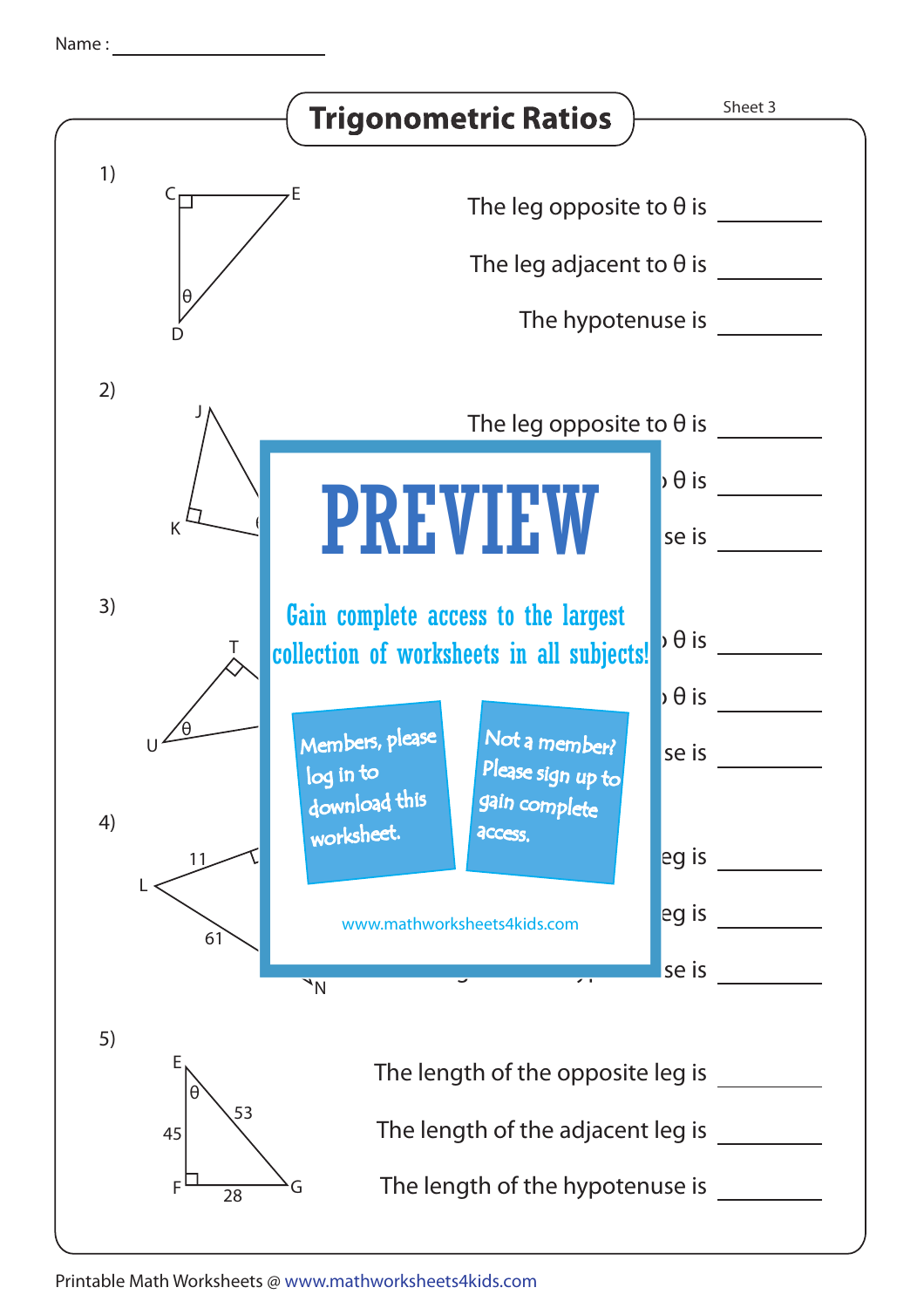Name :

|    | <b>Trigonometric Ratios</b>                                                                                                                           | Sheet 3 |
|----|-------------------------------------------------------------------------------------------------------------------------------------------------------|---------|
| 1) | The leg opposite to $\theta$ is<br>The leg adjacent to $\theta$ is<br>$\theta$<br>The hypotenuse is                                                   |         |
| 2) |                                                                                                                                                       |         |
|    | The leg opposite to $\theta$ is<br>$\flat$ $\theta$ is<br><b>PREVIEW</b><br>K<br>se is                                                                |         |
| 3) | Gain complete access to the largest<br>$\theta$ is<br>collection of worksheets in all subjects!                                                       |         |
| 4) | $\overline{\phantom{a}}$ $\theta$ is<br>Members, please<br>Not a member?<br>se is<br>Please sign up to<br>log in to<br>download this<br>gain complete |         |
|    | worksheet.<br>access.<br>eg is<br>11<br>eg is<br>www.mathworksheets4kids.com<br>61<br>se is<br>$\overline{\phantom{a}}$<br>$\sqrt{N}$                 |         |
| 5) | Ε<br>The length of the opposite leg is<br>θ<br>53<br>The length of the adjacent leg is<br>45                                                          |         |
|    | The length of the hypotenuse is<br>F<br>G<br>28                                                                                                       |         |